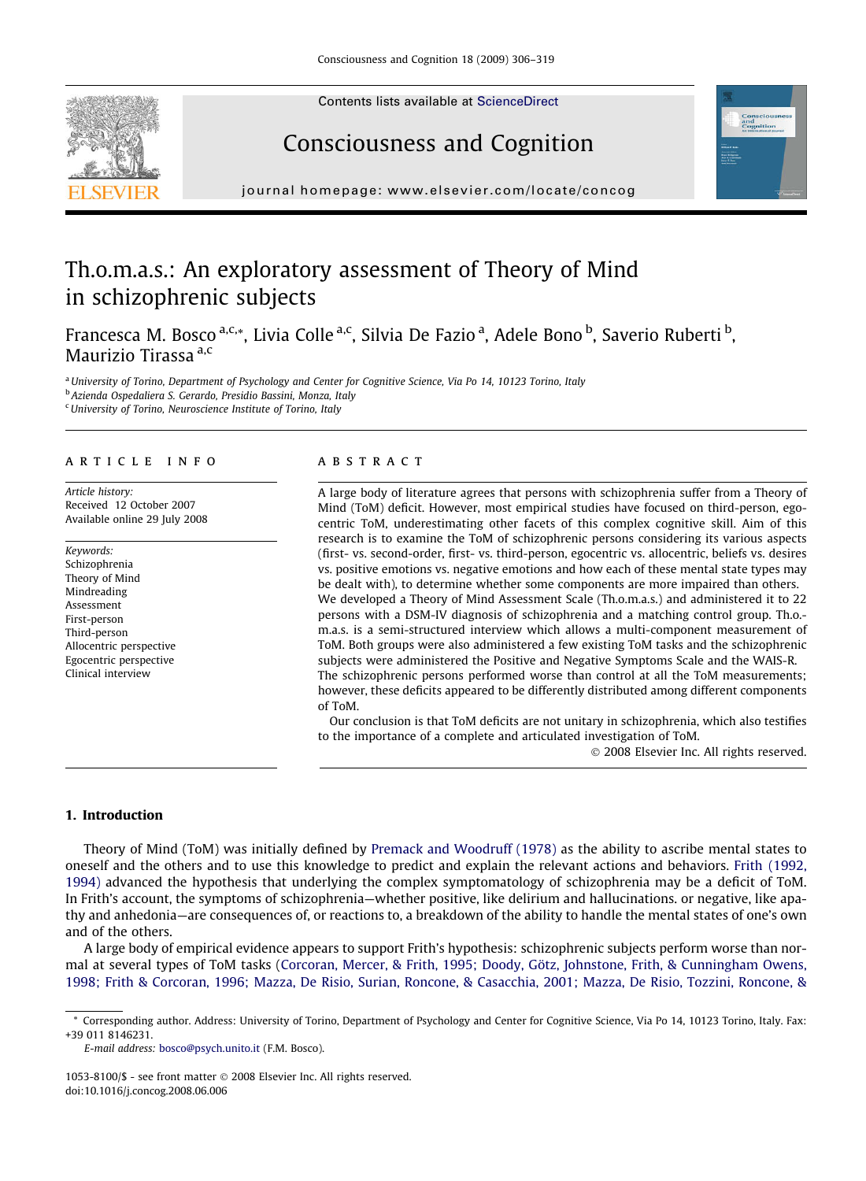Contents lists available at [ScienceDirect](http://www.sciencedirect.com/science/journal/10538100)







journal homepage: [www.elsevier.com/locate/concog](http://www.elsevier.com/locate/concog)

# Th.o.m.a.s.: An exploratory assessment of Theory of Mind in schizophrenic subjects

Francesca M. Bosco<sup>a,c,</sup>\*, Livia Colle<sup>a,c</sup>, Silvia De Fazio<sup>a</sup>, Adele Bono<sup>b</sup>, Saverio Ruberti<sup>b</sup>, Maurizio Tirassa a,c

<sup>a</sup> University of Torino, Department of Psychology and Center for Cognitive Science, Via Po 14, 10123 Torino, Italy <sup>b</sup> Azienda Ospedaliera S. Gerardo, Presidio Bassini, Monza, Italy <sup>c</sup>University of Torino, Neuroscience Institute of Torino, Italy

#### article info

Article history: Received 12 October 2007 Available online 29 July 2008

Keywords: Schizophrenia Theory of Mind Mindreading Assessment First-person Third-person Allocentric perspective Egocentric perspective Clinical interview

## **ABSTRACT**

A large body of literature agrees that persons with schizophrenia suffer from a Theory of Mind (ToM) deficit. However, most empirical studies have focused on third-person, egocentric ToM, underestimating other facets of this complex cognitive skill. Aim of this research is to examine the ToM of schizophrenic persons considering its various aspects (first- vs. second-order, first- vs. third-person, egocentric vs. allocentric, beliefs vs. desires vs. positive emotions vs. negative emotions and how each of these mental state types may be dealt with), to determine whether some components are more impaired than others. We developed a Theory of Mind Assessment Scale (Th.o.m.a.s.) and administered it to 22 persons with a DSM-IV diagnosis of schizophrenia and a matching control group. Th.o. m.a.s. is a semi-structured interview which allows a multi-component measurement of ToM. Both groups were also administered a few existing ToM tasks and the schizophrenic subjects were administered the Positive and Negative Symptoms Scale and the WAIS-R. The schizophrenic persons performed worse than control at all the ToM measurements; however, these deficits appeared to be differently distributed among different components of ToM.

Our conclusion is that ToM deficits are not unitary in schizophrenia, which also testifies to the importance of a complete and articulated investigation of ToM.

- 2008 Elsevier Inc. All rights reserved.

## 1. Introduction

Theory of Mind (ToM) was initially defined by [Premack and Woodruff \(1978\)](#page-13-0) as the ability to ascribe mental states to oneself and the others and to use this knowledge to predict and explain the relevant actions and behaviors. [Frith \(1992,](#page-12-0) [1994\)](#page-12-0) advanced the hypothesis that underlying the complex symptomatology of schizophrenia may be a deficit of ToM. In Frith's account, the symptoms of schizophrenia—whether positive, like delirium and hallucinations. or negative, like apathy and anhedonia—are consequences of, or reactions to, a breakdown of the ability to handle the mental states of one's own and of the others.

A large body of empirical evidence appears to support Frith's hypothesis: schizophrenic subjects perform worse than normal at several types of ToM tasks ([Corcoran, Mercer, & Frith, 1995; Doody, Götz, Johnstone, Frith, & Cunningham Owens,](#page-12-0) [1998; Frith & Corcoran, 1996; Mazza, De Risio, Surian, Roncone, & Casacchia, 2001; Mazza, De Risio, Tozzini, Roncone, &](#page-12-0)

<sup>\*</sup> Corresponding author. Address: University of Torino, Department of Psychology and Center for Cognitive Science, Via Po 14, 10123 Torino, Italy. Fax: +39 011 8146231.

E-mail address: [bosco@psych.unito.it](mailto:bosco@psych.unito.it) (F.M. Bosco).

 $1053-8100$ /\$ - see front matter  $\odot$  2008 Elsevier Inc. All rights reserved. doi:10.1016/j.concog.2008.06.006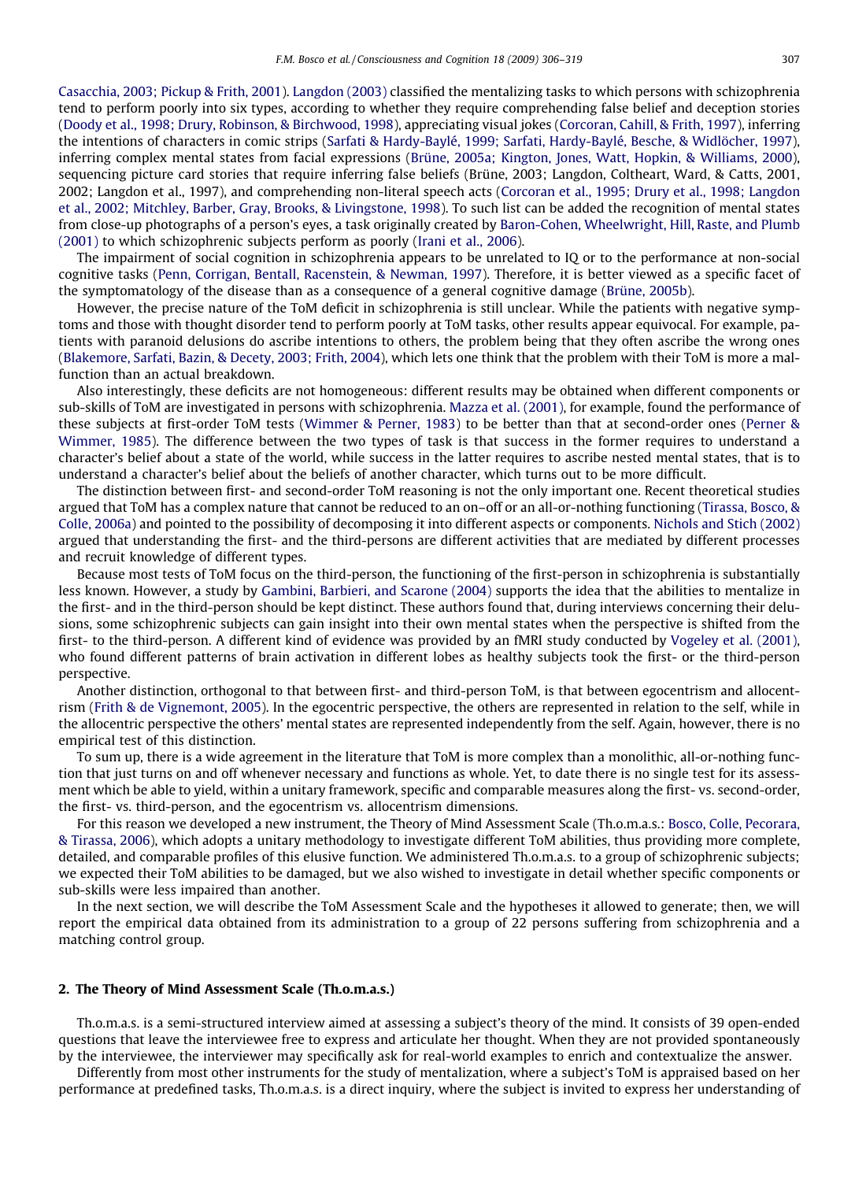[Casacchia, 2003; Pickup & Frith, 2001](#page-12-0)). [Langdon \(2003\)](#page-13-0) classified the mentalizing tasks to which persons with schizophrenia tend to perform poorly into six types, according to whether they require comprehending false belief and deception stories ([Doody et al., 1998; Drury, Robinson, & Birchwood, 1998\)](#page-12-0), appreciating visual jokes [\(Corcoran, Cahill, & Frith, 1997](#page-12-0)), inferring the intentions of characters in comic strips ([Sarfati & Hardy-Baylé, 1999; Sarfati, Hardy-Baylé, Besche, & Widlöcher, 1997](#page-13-0)), inferring complex mental states from facial expressions [\(Brüne, 2005a; Kington, Jones, Watt, Hopkin, & Williams, 2000](#page-12-0)), sequencing picture card stories that require inferring false beliefs (Brüne, 2003; Langdon, Coltheart, Ward, & Catts, 2001, 2002; Langdon et al., 1997), and comprehending non-literal speech acts [\(Corcoran et al., 1995; Drury et al., 1998; Langdon](#page-12-0) [et al., 2002; Mitchley, Barber, Gray, Brooks, & Livingstone, 1998](#page-12-0)). To such list can be added the recognition of mental states from close-up photographs of a person's eyes, a task originally created by [Baron-Cohen, Wheelwright, Hill, Raste, and Plumb](#page-12-0) [\(2001\)](#page-12-0) to which schizophrenic subjects perform as poorly ([Irani et al., 2006](#page-13-0)).

The impairment of social cognition in schizophrenia appears to be unrelated to IQ or to the performance at non-social cognitive tasks [\(Penn, Corrigan, Bentall, Racenstein, & Newman, 1997](#page-13-0)). Therefore, it is better viewed as a specific facet of the symptomatology of the disease than as a consequence of a general cognitive damage [\(Brüne, 2005b](#page-12-0)).

However, the precise nature of the ToM deficit in schizophrenia is still unclear. While the patients with negative symptoms and those with thought disorder tend to perform poorly at ToM tasks, other results appear equivocal. For example, patients with paranoid delusions do ascribe intentions to others, the problem being that they often ascribe the wrong ones ([Blakemore, Sarfati, Bazin, & Decety, 2003; Frith, 2004](#page-12-0)), which lets one think that the problem with their ToM is more a malfunction than an actual breakdown.

Also interestingly, these deficits are not homogeneous: different results may be obtained when different components or sub-skills of ToM are investigated in persons with schizophrenia. [Mazza et al. \(2001\)](#page-13-0), for example, found the performance of these subjects at first-order ToM tests ([Wimmer & Perner, 1983\)](#page-13-0) to be better than that at second-order ones [\(Perner &](#page-13-0) [Wimmer, 1985](#page-13-0)). The difference between the two types of task is that success in the former requires to understand a character's belief about a state of the world, while success in the latter requires to ascribe nested mental states, that is to understand a character's belief about the beliefs of another character, which turns out to be more difficult.

The distinction between first- and second-order ToM reasoning is not the only important one. Recent theoretical studies argued that ToM has a complex nature that cannot be reduced to an on–off or an all-or-nothing functioning ([Tirassa, Bosco, &](#page-13-0) [Colle, 2006a\)](#page-13-0) and pointed to the possibility of decomposing it into different aspects or components. [Nichols and Stich \(2002\)](#page-13-0) argued that understanding the first- and the third-persons are different activities that are mediated by different processes and recruit knowledge of different types.

Because most tests of ToM focus on the third-person, the functioning of the first-person in schizophrenia is substantially less known. However, a study by [Gambini, Barbieri, and Scarone \(2004\)](#page-13-0) supports the idea that the abilities to mentalize in the first- and in the third-person should be kept distinct. These authors found that, during interviews concerning their delusions, some schizophrenic subjects can gain insight into their own mental states when the perspective is shifted from the first- to the third-person. A different kind of evidence was provided by an fMRI study conducted by [Vogeley et al. \(2001\)](#page-13-0), who found different patterns of brain activation in different lobes as healthy subjects took the first- or the third-person perspective.

Another distinction, orthogonal to that between first- and third-person ToM, is that between egocentrism and allocentrism [\(Frith & de Vignemont, 2005](#page-12-0)). In the egocentric perspective, the others are represented in relation to the self, while in the allocentric perspective the others' mental states are represented independently from the self. Again, however, there is no empirical test of this distinction.

To sum up, there is a wide agreement in the literature that ToM is more complex than a monolithic, all-or-nothing function that just turns on and off whenever necessary and functions as whole. Yet, to date there is no single test for its assessment which be able to yield, within a unitary framework, specific and comparable measures along the first- vs. second-order, the first- vs. third-person, and the egocentrism vs. allocentrism dimensions.

For this reason we developed a new instrument, the Theory of Mind Assessment Scale (Th.o.m.a.s.: [Bosco, Colle, Pecorara,](#page-12-0) [& Tirassa, 2006](#page-12-0)), which adopts a unitary methodology to investigate different ToM abilities, thus providing more complete, detailed, and comparable profiles of this elusive function. We administered Th.o.m.a.s. to a group of schizophrenic subjects; we expected their ToM abilities to be damaged, but we also wished to investigate in detail whether specific components or sub-skills were less impaired than another.

In the next section, we will describe the ToM Assessment Scale and the hypotheses it allowed to generate; then, we will report the empirical data obtained from its administration to a group of 22 persons suffering from schizophrenia and a matching control group.

#### 2. The Theory of Mind Assessment Scale (Th.o.m.a.s.)

Th.o.m.a.s. is a semi-structured interview aimed at assessing a subject's theory of the mind. It consists of 39 open-ended questions that leave the interviewee free to express and articulate her thought. When they are not provided spontaneously by the interviewee, the interviewer may specifically ask for real-world examples to enrich and contextualize the answer.

Differently from most other instruments for the study of mentalization, where a subject's ToM is appraised based on her performance at predefined tasks, Th.o.m.a.s. is a direct inquiry, where the subject is invited to express her understanding of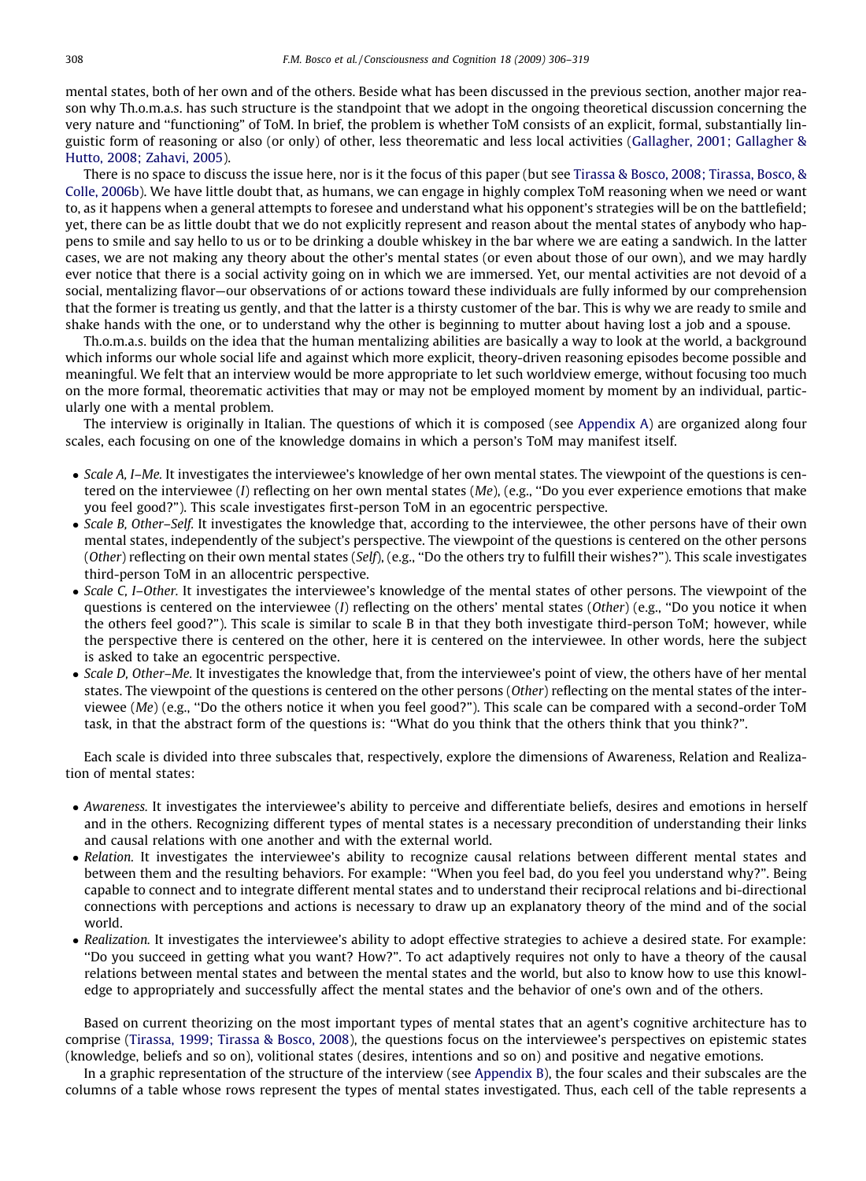mental states, both of her own and of the others. Beside what has been discussed in the previous section, another major reason why Th.o.m.a.s. has such structure is the standpoint that we adopt in the ongoing theoretical discussion concerning the very nature and ''functioning" of ToM. In brief, the problem is whether ToM consists of an explicit, formal, substantially linguistic form of reasoning or also (or only) of other, less theorematic and less local activities [\(Gallagher, 2001; Gallagher &](#page-12-0) [Hutto, 2008; Zahavi, 2005](#page-12-0)).

There is no space to discuss the issue here, nor is it the focus of this paper (but see [Tirassa & Bosco, 2008; Tirassa, Bosco, &](#page-13-0) [Colle, 2006b](#page-13-0)). We have little doubt that, as humans, we can engage in highly complex ToM reasoning when we need or want to, as it happens when a general attempts to foresee and understand what his opponent's strategies will be on the battlefield; yet, there can be as little doubt that we do not explicitly represent and reason about the mental states of anybody who happens to smile and say hello to us or to be drinking a double whiskey in the bar where we are eating a sandwich. In the latter cases, we are not making any theory about the other's mental states (or even about those of our own), and we may hardly ever notice that there is a social activity going on in which we are immersed. Yet, our mental activities are not devoid of a social, mentalizing flavor—our observations of or actions toward these individuals are fully informed by our comprehension that the former is treating us gently, and that the latter is a thirsty customer of the bar. This is why we are ready to smile and shake hands with the one, or to understand why the other is beginning to mutter about having lost a job and a spouse.

Th.o.m.a.s. builds on the idea that the human mentalizing abilities are basically a way to look at the world, a background which informs our whole social life and against which more explicit, theory-driven reasoning episodes become possible and meaningful. We felt that an interview would be more appropriate to let such worldview emerge, without focusing too much on the more formal, theorematic activities that may or may not be employed moment by moment by an individual, particularly one with a mental problem.

The interview is originally in Italian. The questions of which it is composed (see Appendix A) are organized along four scales, each focusing on one of the knowledge domains in which a person's ToM may manifest itself.

- Scale A, I–Me. It investigates the interviewee's knowledge of her own mental states. The viewpoint of the questions is centered on the interviewee (I) reflecting on her own mental states (Me), (e.g., ''Do you ever experience emotions that make you feel good?"). This scale investigates first-person ToM in an egocentric perspective.
- Scale B, Other–Self. It investigates the knowledge that, according to the interviewee, the other persons have of their own mental states, independently of the subject's perspective. The viewpoint of the questions is centered on the other persons (Other) reflecting on their own mental states (Self), (e.g., ''Do the others try to fulfill their wishes?"). This scale investigates third-person ToM in an allocentric perspective.
- Scale C, I–Other. It investigates the interviewee's knowledge of the mental states of other persons. The viewpoint of the questions is centered on the interviewee (I) reflecting on the others' mental states (Other) (e.g., "Do you notice it when the others feel good?"). This scale is similar to scale B in that they both investigate third-person ToM; however, while the perspective there is centered on the other, here it is centered on the interviewee. In other words, here the subject is asked to take an egocentric perspective.
- Scale D, Other–Me. It investigates the knowledge that, from the interviewee's point of view, the others have of her mental states. The viewpoint of the questions is centered on the other persons (Other) reflecting on the mental states of the interviewee (Me) (e.g., ''Do the others notice it when you feel good?"). This scale can be compared with a second-order ToM task, in that the abstract form of the questions is: ''What do you think that the others think that you think?".

Each scale is divided into three subscales that, respectively, explore the dimensions of Awareness, Relation and Realization of mental states:

- Awareness. It investigates the interviewee's ability to perceive and differentiate beliefs, desires and emotions in herself and in the others. Recognizing different types of mental states is a necessary precondition of understanding their links and causal relations with one another and with the external world.
- Relation. It investigates the interviewee's ability to recognize causal relations between different mental states and between them and the resulting behaviors. For example: ''When you feel bad, do you feel you understand why?". Being capable to connect and to integrate different mental states and to understand their reciprocal relations and bi-directional connections with perceptions and actions is necessary to draw up an explanatory theory of the mind and of the social world.
- Realization. It investigates the interviewee's ability to adopt effective strategies to achieve a desired state. For example: ''Do you succeed in getting what you want? How?". To act adaptively requires not only to have a theory of the causal relations between mental states and between the mental states and the world, but also to know how to use this knowledge to appropriately and successfully affect the mental states and the behavior of one's own and of the others.

Based on current theorizing on the most important types of mental states that an agent's cognitive architecture has to comprise ([Tirassa, 1999; Tirassa & Bosco, 2008\)](#page-13-0), the questions focus on the interviewee's perspectives on epistemic states (knowledge, beliefs and so on), volitional states (desires, intentions and so on) and positive and negative emotions.

In a graphic representation of the structure of the interview (see [Appendix B](#page-10-0)), the four scales and their subscales are the columns of a table whose rows represent the types of mental states investigated. Thus, each cell of the table represents a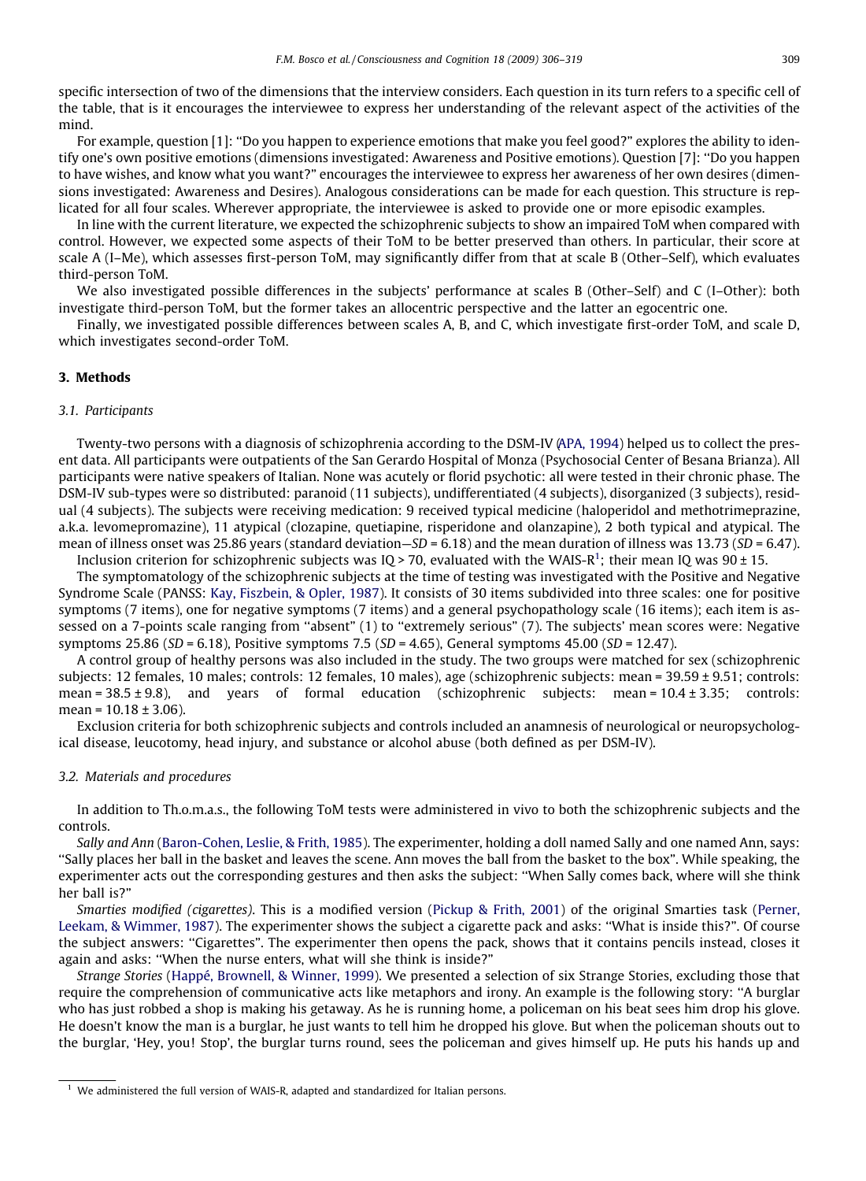specific intersection of two of the dimensions that the interview considers. Each question in its turn refers to a specific cell of the table, that is it encourages the interviewee to express her understanding of the relevant aspect of the activities of the mind.

For example, question [1]: ''Do you happen to experience emotions that make you feel good?" explores the ability to identify one's own positive emotions (dimensions investigated: Awareness and Positive emotions). Question [7]: ''Do you happen to have wishes, and know what you want?" encourages the interviewee to express her awareness of her own desires (dimensions investigated: Awareness and Desires). Analogous considerations can be made for each question. This structure is replicated for all four scales. Wherever appropriate, the interviewee is asked to provide one or more episodic examples.

In line with the current literature, we expected the schizophrenic subjects to show an impaired ToM when compared with control. However, we expected some aspects of their ToM to be better preserved than others. In particular, their score at scale A (I–Me), which assesses first-person ToM, may significantly differ from that at scale B (Other–Self), which evaluates third-person ToM.

We also investigated possible differences in the subjects' performance at scales B (Other–Self) and C (I–Other): both investigate third-person ToM, but the former takes an allocentric perspective and the latter an egocentric one.

Finally, we investigated possible differences between scales A, B, and C, which investigate first-order ToM, and scale D, which investigates second-order ToM.

## 3. Methods

#### 3.1. Participants

Twenty-two persons with a diagnosis of schizophrenia according to the DSM-IV [\(APA, 1994](#page-12-0)) helped us to collect the present data. All participants were outpatients of the San Gerardo Hospital of Monza (Psychosocial Center of Besana Brianza). All participants were native speakers of Italian. None was acutely or florid psychotic: all were tested in their chronic phase. The DSM-IV sub-types were so distributed: paranoid (11 subjects), undifferentiated (4 subjects), disorganized (3 subjects), residual (4 subjects). The subjects were receiving medication: 9 received typical medicine (haloperidol and methotrimeprazine, a.k.a. levomepromazine), 11 atypical (clozapine, quetiapine, risperidone and olanzapine), 2 both typical and atypical. The mean of illness onset was 25.86 years (standard deviation— $SD = 6.18$ ) and the mean duration of illness was 13.73 ( $SD = 6.47$ ).

Inclusion criterion for schizophrenic subjects was IQ > 70, evaluated with the WAIS-R<sup>1</sup>; their mean IQ was 90 ± 15. The symptomatology of the schizophrenic subjects at the time of testing was investigated with the Positive and Negative Syndrome Scale (PANSS: [Kay, Fiszbein, & Opler, 1987\)](#page-13-0). It consists of 30 items subdivided into three scales: one for positive symptoms (7 items), one for negative symptoms (7 items) and a general psychopathology scale (16 items); each item is assessed on a 7-points scale ranging from "absent" (1) to "extremely serious" (7). The subjects' mean scores were: Negative symptoms 25.86 ( $SD = 6.18$ ), Positive symptoms 7.5 ( $SD = 4.65$ ), General symptoms 45.00 ( $SD = 12.47$ ).

A control group of healthy persons was also included in the study. The two groups were matched for sex (schizophrenic subjects: 12 females, 10 males; controls: 12 females, 10 males), age (schizophrenic subjects: mean = 39.59 ± 9.51; controls: mean =  $38.5 \pm 9.8$ ), and years of formal education (schizophrenic subjects: mean =  $10.4 \pm 3.35$ ; controls: mean =  $10.18 \pm 3.06$ ).

Exclusion criteria for both schizophrenic subjects and controls included an anamnesis of neurological or neuropsychological disease, leucotomy, head injury, and substance or alcohol abuse (both defined as per DSM-IV).

#### 3.2. Materials and procedures

In addition to Th.o.m.a.s., the following ToM tests were administered in vivo to both the schizophrenic subjects and the controls.

Sally and Ann ([Baron-Cohen, Leslie, & Frith, 1985](#page-12-0)). The experimenter, holding a doll named Sally and one named Ann, says: ''Sally places her ball in the basket and leaves the scene. Ann moves the ball from the basket to the box". While speaking, the experimenter acts out the corresponding gestures and then asks the subject: ''When Sally comes back, where will she think her ball is?"

Smarties modified (cigarettes). This is a modified version [\(Pickup & Frith, 2001\)](#page-13-0) of the original Smarties task ([Perner,](#page-13-0) [Leekam, & Wimmer, 1987\)](#page-13-0). The experimenter shows the subject a cigarette pack and asks: ''What is inside this?". Of course the subject answers: ''Cigarettes". The experimenter then opens the pack, shows that it contains pencils instead, closes it again and asks: ''When the nurse enters, what will she think is inside?"

Strange Stories ([Happé, Brownell, & Winner, 1999](#page-13-0)). We presented a selection of six Strange Stories, excluding those that require the comprehension of communicative acts like metaphors and irony. An example is the following story: ''A burglar who has just robbed a shop is making his getaway. As he is running home, a policeman on his beat sees him drop his glove. He doesn't know the man is a burglar, he just wants to tell him he dropped his glove. But when the policeman shouts out to the burglar, 'Hey, you! Stop', the burglar turns round, sees the policeman and gives himself up. He puts his hands up and

 $<sup>1</sup>$  We administered the full version of WAIS-R, adapted and standardized for Italian persons.</sup>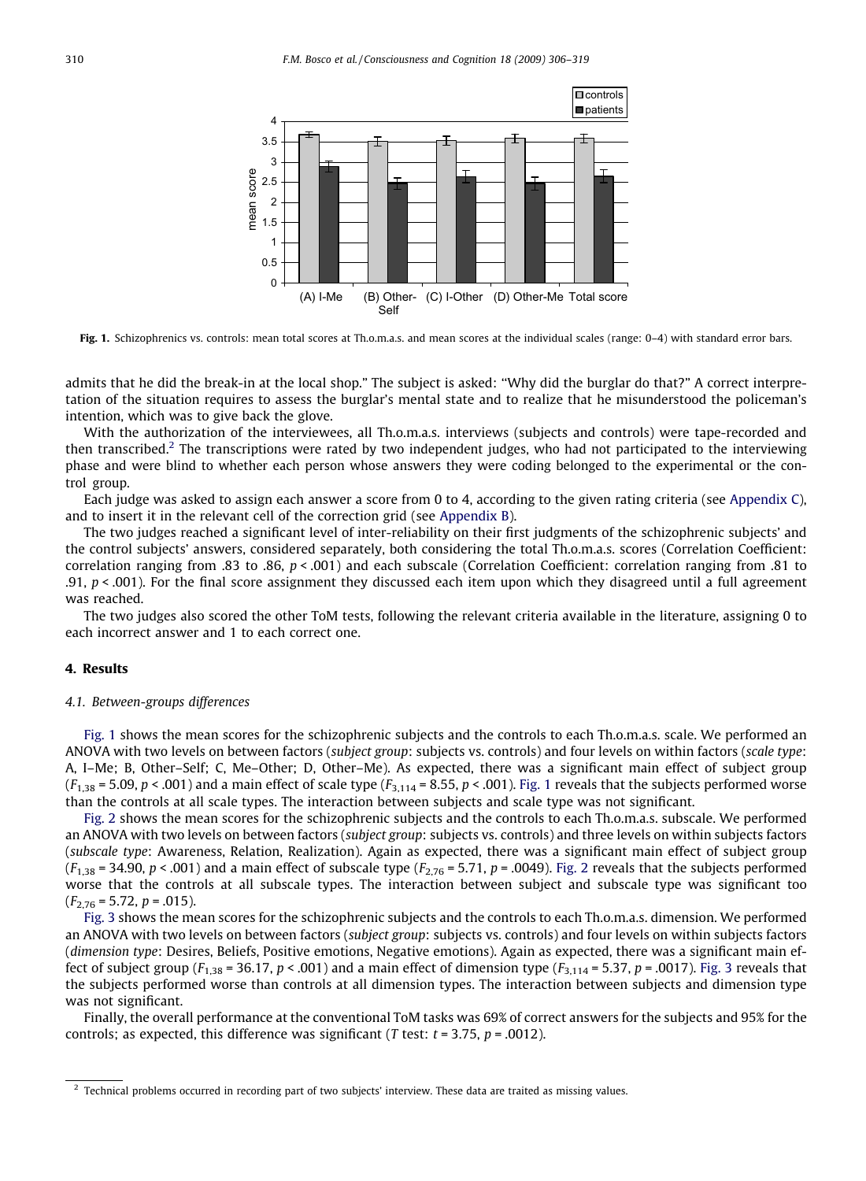<span id="page-4-0"></span>

Fig. 1. Schizophrenics vs. controls: mean total scores at Th.o.m.a.s. and mean scores at the individual scales (range: 0-4) with standard error bars.

admits that he did the break-in at the local shop." The subject is asked: ''Why did the burglar do that?" A correct interpretation of the situation requires to assess the burglar's mental state and to realize that he misunderstood the policeman's intention, which was to give back the glove.

With the authorization of the interviewees, all Th.o.m.a.s. interviews (subjects and controls) were tape-recorded and then transcribed.<sup>2</sup> The transcriptions were rated by two independent judges, who had not participated to the interviewing phase and were blind to whether each person whose answers they were coding belonged to the experimental or the control group.

Each judge was asked to assign each answer a score from 0 to 4, according to the given rating criteria (see Appendix C), and to insert it in the relevant cell of the correction grid (see [Appendix B](#page-10-0)).

The two judges reached a significant level of inter-reliability on their first judgments of the schizophrenic subjects' and the control subjects' answers, considered separately, both considering the total Th.o.m.a.s. scores (Correlation Coefficient: correlation ranging from .83 to .86,  $p < .001$ ) and each subscale (Correlation Coefficient: correlation ranging from .81 to .91,  $p < .001$ ). For the final score assignment they discussed each item upon which they disagreed until a full agreement was reached.

The two judges also scored the other ToM tests, following the relevant criteria available in the literature, assigning 0 to each incorrect answer and 1 to each correct one.

#### 4. Results

# 4.1. Between-groups differences

Fig. 1 shows the mean scores for the schizophrenic subjects and the controls to each Th.o.m.a.s. scale. We performed an ANOVA with two levels on between factors (subject group: subjects vs. controls) and four levels on within factors (scale type: A, I–Me; B, Other–Self; C, Me–Other; D, Other–Me). As expected, there was a significant main effect of subject group  $(F_{1,38} = 5.09, p < .001)$  and a main effect of scale type  $(F_{3,114} = 8.55, p < .001)$ . Fig. 1 reveals that the subjects performed worse than the controls at all scale types. The interaction between subjects and scale type was not significant.

[Fig. 2](#page-5-0) shows the mean scores for the schizophrenic subjects and the controls to each Th.o.m.a.s. subscale. We performed an ANOVA with two levels on between factors (subject group: subjects vs. controls) and three levels on within subjects factors (subscale type: Awareness, Relation, Realization). Again as expected, there was a significant main effect of subject group  $(F_{1,38} = 34.90, p < .001)$  and a main effect of subscale type  $(F_{2,76} = 5.71, p = .0049)$ . [Fig. 2](#page-5-0) reveals that the subjects performed worse that the controls at all subscale types. The interaction between subject and subscale type was significant too  $(F_{2,76} = 5.72, p = .015).$ 

[Fig. 3](#page-5-0) shows the mean scores for the schizophrenic subjects and the controls to each Th.o.m.a.s. dimension. We performed an ANOVA with two levels on between factors (subject group: subjects vs. controls) and four levels on within subjects factors (dimension type: Desires, Beliefs, Positive emotions, Negative emotions). Again as expected, there was a significant main effect of subject group ( $F_{1,38}$  = 36.17, p < .001) and a main effect of dimension type ( $F_{3,114}$  = 5.37, p = .0017). [Fig. 3](#page-5-0) reveals that the subjects performed worse than controls at all dimension types. The interaction between subjects and dimension type was not significant.

Finally, the overall performance at the conventional ToM tasks was 69% of correct answers for the subjects and 95% for the controls; as expected, this difference was significant (T test:  $t = 3.75$ ,  $p = .0012$ ).

 $2\degree$  Technical problems occurred in recording part of two subjects' interview. These data are traited as missing values.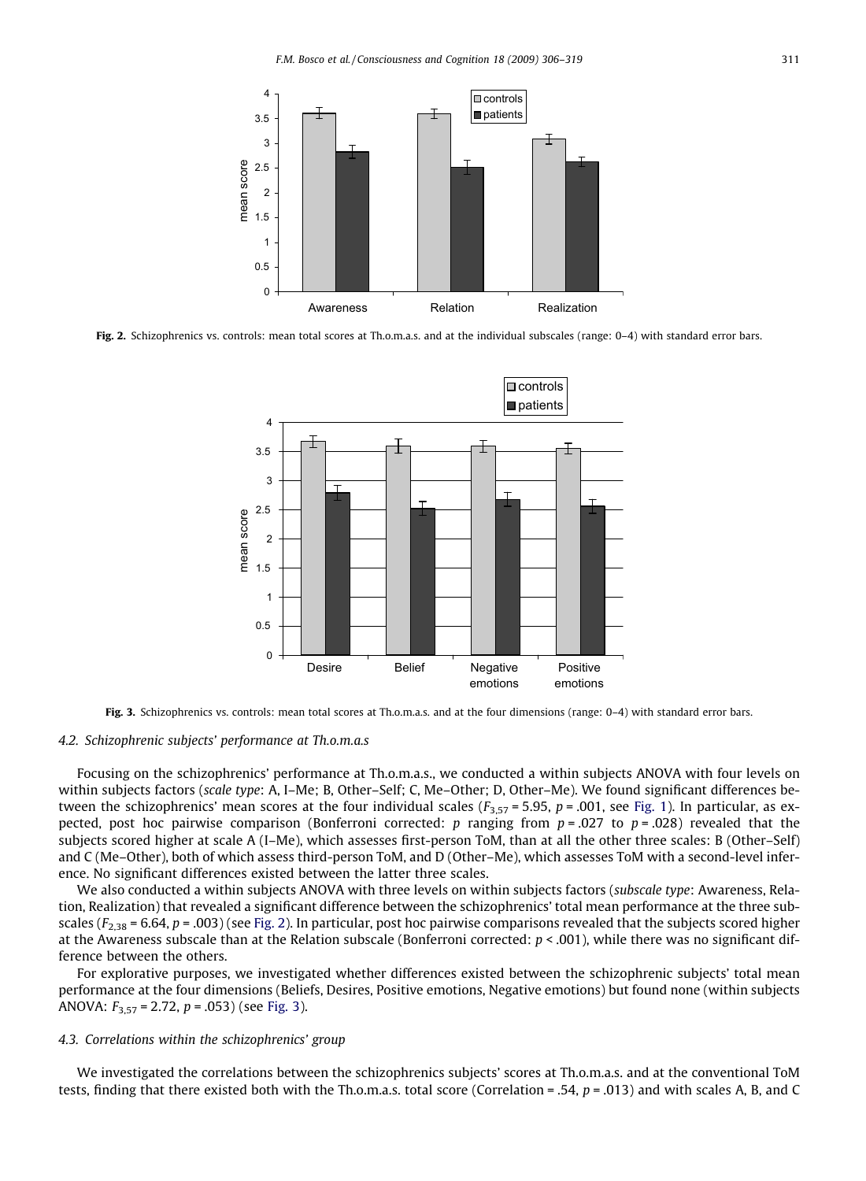<span id="page-5-0"></span>

Fig. 2. Schizophrenics vs. controls: mean total scores at Th.o.m.a.s. and at the individual subscales (range: 0-4) with standard error bars.



Fig. 3. Schizophrenics vs. controls: mean total scores at Th.o.m.a.s. and at the four dimensions (range: 0-4) with standard error bars.

#### 4.2. Schizophrenic subjects' performance at Th.o.m.a.s

Focusing on the schizophrenics' performance at Th.o.m.a.s., we conducted a within subjects ANOVA with four levels on within subjects factors (scale type: A, I–Me; B, Other–Self; C, Me–Other; D, Other–Me). We found significant differences between the schizophrenics' mean scores at the four individual scales ( $F_{3,57}$  = 5.95, p = .001, see [Fig. 1\)](#page-4-0). In particular, as expected, post hoc pairwise comparison (Bonferroni corrected: p ranging from  $p = .027$  to  $p = .028$ ) revealed that the subjects scored higher at scale A (I–Me), which assesses first-person ToM, than at all the other three scales: B (Other–Self) and C (Me–Other), both of which assess third-person ToM, and D (Other–Me), which assesses ToM with a second-level inference. No significant differences existed between the latter three scales.

We also conducted a within subjects ANOVA with three levels on within subjects factors (subscale type: Awareness, Relation, Realization) that revealed a significant difference between the schizophrenics' total mean performance at the three subscales ( $F_{2,38}$  = 6.64, p = .003) (see Fig. 2). In particular, post hoc pairwise comparisons revealed that the subjects scored higher at the Awareness subscale than at the Relation subscale (Bonferroni corrected: p < .001), while there was no significant difference between the others.

For explorative purposes, we investigated whether differences existed between the schizophrenic subjects' total mean performance at the four dimensions (Beliefs, Desires, Positive emotions, Negative emotions) but found none (within subjects ANOVA:  $F_{3,57}$  = 2.72, p = .053) (see Fig. 3).

#### 4.3. Correlations within the schizophrenics' group

We investigated the correlations between the schizophrenics subjects' scores at Th.o.m.a.s. and at the conventional ToM tests, finding that there existed both with the Th.o.m.a.s. total score (Correlation = .54, p = .013) and with scales A, B, and C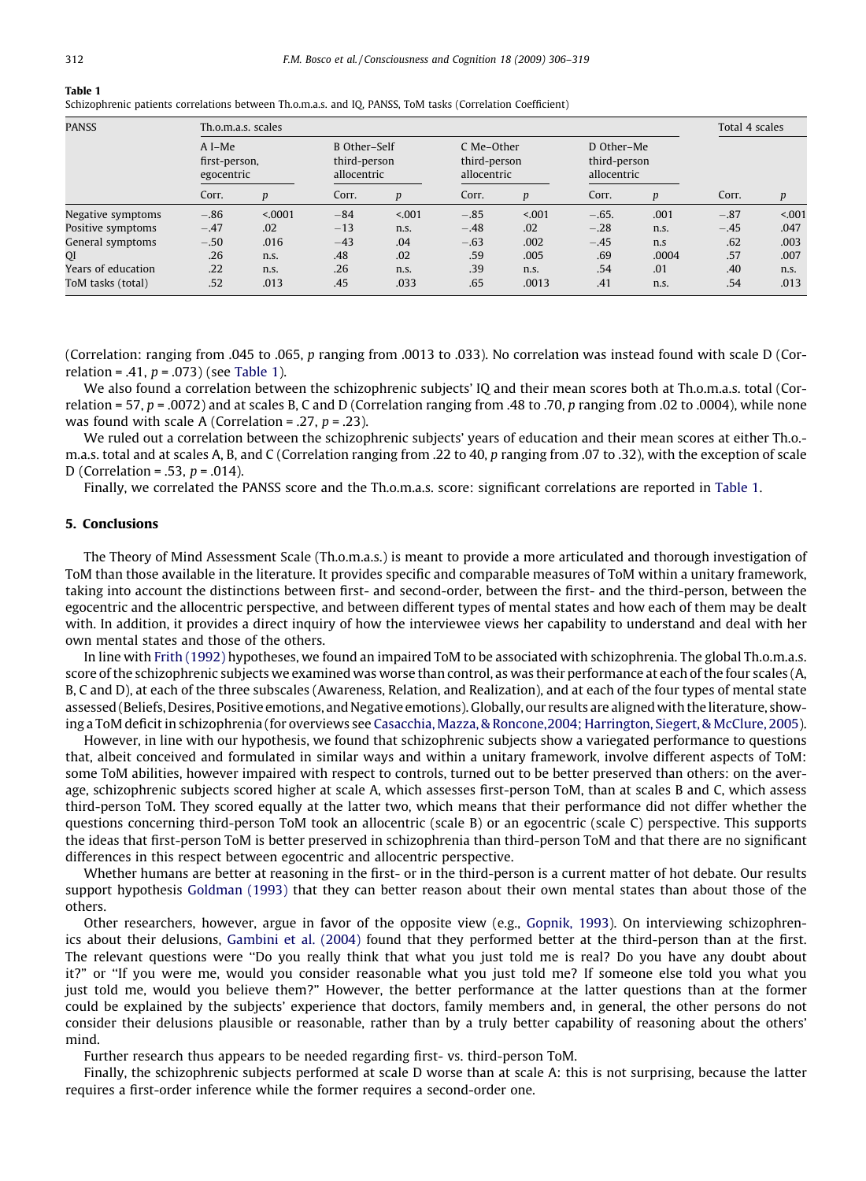#### Table 1

Schizophrenic patients correlations between Th.o.m.a.s. and IQ, PANSS, ToM tasks (Correlation Coefficient)

| <b>PANSS</b>       | Th.o.m.a.s. scales                    |                  |       |                                                    |        |                                           |         |                                           | Total 4 scales |                  |
|--------------------|---------------------------------------|------------------|-------|----------------------------------------------------|--------|-------------------------------------------|---------|-------------------------------------------|----------------|------------------|
|                    | A I-Me<br>first-person,<br>egocentric |                  |       | <b>B</b> Other-Self<br>third-person<br>allocentric |        | C Me-Other<br>third-person<br>allocentric |         | D Other-Me<br>third-person<br>allocentric |                |                  |
|                    | Corr.                                 | $\boldsymbol{p}$ | Corr. | p                                                  | Corr.  | $\boldsymbol{p}$                          | Corr.   | $\boldsymbol{p}$                          | Corr.          | $\boldsymbol{p}$ |
| Negative symptoms  | $-.86$                                | < 0.001          | $-84$ | < 0.001                                            | $-.85$ | < 0.001                                   | $-.65.$ | .001                                      | $-.87$         | < 0.001          |
| Positive symptoms  | $-.47$                                | .02              | $-13$ | n.s.                                               | $-.48$ | .02                                       | $-.28$  | n.s.                                      | $-.45$         | .047             |
| General symptoms   | $-.50$                                | .016             | $-43$ | .04                                                | $-.63$ | .002                                      | $-.45$  | n.s                                       | .62            | .003             |
| ΟI                 | .26                                   | n.s.             | .48   | .02                                                | .59    | .005                                      | .69     | .0004                                     | .57            | .007             |
| Years of education | .22                                   | n.s.             | .26   | n.s.                                               | .39    | n.s.                                      | .54     | .01                                       | .40            | n.s.             |
| ToM tasks (total)  | .52                                   | .013             | .45   | .033                                               | .65    | .0013                                     | .41     | n.s.                                      | .54            | .013             |

(Correlation: ranging from .045 to .065, p ranging from .0013 to .033). No correlation was instead found with scale D (Correlation = .41,  $p = .073$ ) (see Table 1).

We also found a correlation between the schizophrenic subjects' IQ and their mean scores both at Th.o.m.a.s. total (Correlation = 57,  $p$  = .0072) and at scales B, C and D (Correlation ranging from .48 to .70, p ranging from .02 to .0004), while none was found with scale A (Correlation = .27,  $p = .23$ ).

We ruled out a correlation between the schizophrenic subjects' years of education and their mean scores at either Th.o. m.a.s. total and at scales A, B, and C (Correlation ranging from .22 to 40, p ranging from .07 to .32), with the exception of scale D (Correlation = .53,  $p = .014$ ).

Finally, we correlated the PANSS score and the Th.o.m.a.s. score: significant correlations are reported in Table 1.

#### 5. Conclusions

The Theory of Mind Assessment Scale (Th.o.m.a.s.) is meant to provide a more articulated and thorough investigation of ToM than those available in the literature. It provides specific and comparable measures of ToM within a unitary framework, taking into account the distinctions between first- and second-order, between the first- and the third-person, between the egocentric and the allocentric perspective, and between different types of mental states and how each of them may be dealt with. In addition, it provides a direct inquiry of how the interviewee views her capability to understand and deal with her own mental states and those of the others.

In line with [Frith \(1992\)](#page-12-0) hypotheses, we found an impaired ToM to be associated with schizophrenia. The global Th.o.m.a.s. score of the schizophrenic subjects we examined was worse than control, as was their performance at each of the four scales (A, B, C and D), at each of the three subscales (Awareness, Relation, and Realization), and at each of the four types of mental state assessed (Beliefs, Desires, Positive emotions, and Negative emotions). Globally, our results are aligned with the literature, showing a ToM deficit in schizophrenia (for overviews see [Casacchia, Mazza, & Roncone,2004; Harrington, Siegert, & McClure, 2005](#page-12-0)).

However, in line with our hypothesis, we found that schizophrenic subjects show a variegated performance to questions that, albeit conceived and formulated in similar ways and within a unitary framework, involve different aspects of ToM: some ToM abilities, however impaired with respect to controls, turned out to be better preserved than others: on the average, schizophrenic subjects scored higher at scale A, which assesses first-person ToM, than at scales B and C, which assess third-person ToM. They scored equally at the latter two, which means that their performance did not differ whether the questions concerning third-person ToM took an allocentric (scale B) or an egocentric (scale C) perspective. This supports the ideas that first-person ToM is better preserved in schizophrenia than third-person ToM and that there are no significant differences in this respect between egocentric and allocentric perspective.

Whether humans are better at reasoning in the first- or in the third-person is a current matter of hot debate. Our results support hypothesis [Goldman \(1993\)](#page-13-0) that they can better reason about their own mental states than about those of the others.

Other researchers, however, argue in favor of the opposite view (e.g., [Gopnik, 1993](#page-13-0)). On interviewing schizophrenics about their delusions, [Gambini et al. \(2004\)](#page-13-0) found that they performed better at the third-person than at the first. The relevant questions were ''Do you really think that what you just told me is real? Do you have any doubt about it?" or ''If you were me, would you consider reasonable what you just told me? If someone else told you what you just told me, would you believe them?" However, the better performance at the latter questions than at the former could be explained by the subjects' experience that doctors, family members and, in general, the other persons do not consider their delusions plausible or reasonable, rather than by a truly better capability of reasoning about the others' mind.

Further research thus appears to be needed regarding first- vs. third-person ToM.

Finally, the schizophrenic subjects performed at scale D worse than at scale A: this is not surprising, because the latter requires a first-order inference while the former requires a second-order one.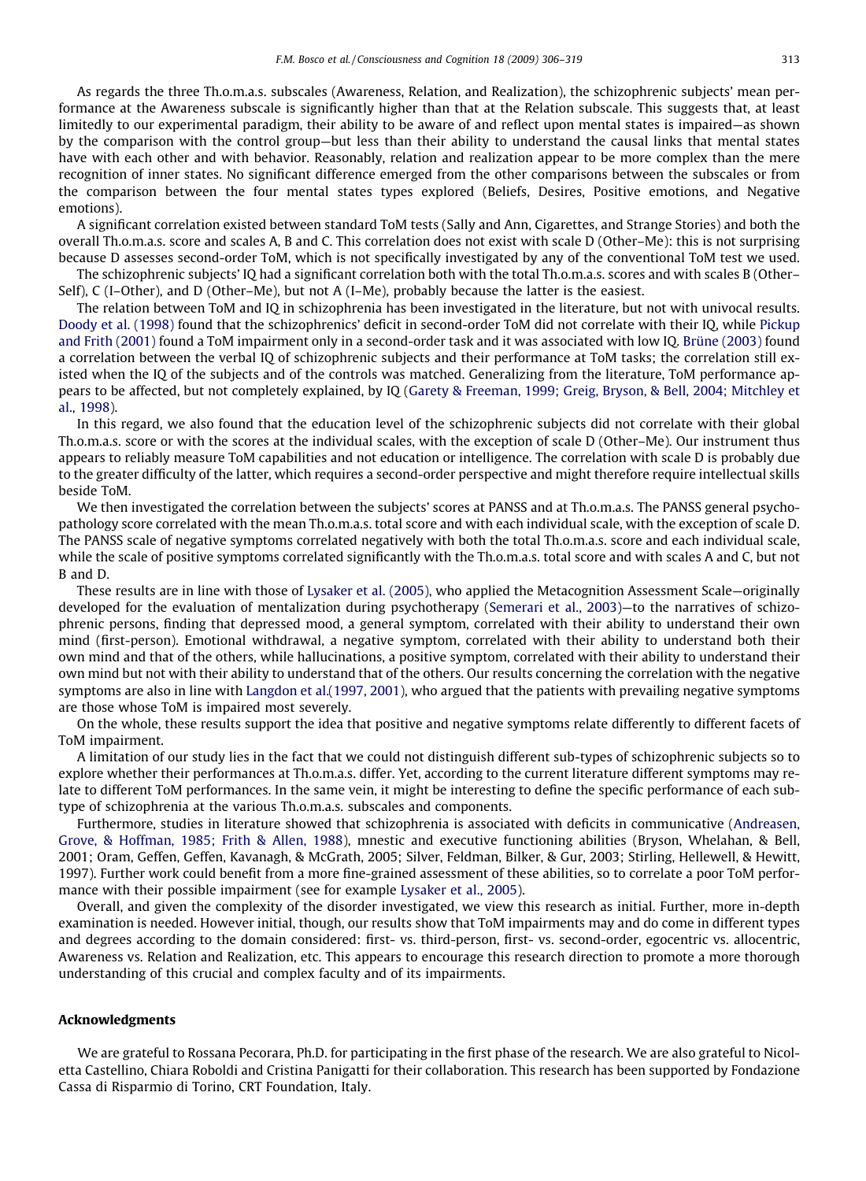As regards the three Th.o.m.a.s. subscales (Awareness, Relation, and Realization), the schizophrenic subjects' mean performance at the Awareness subscale is significantly higher than that at the Relation subscale. This suggests that, at least limitedly to our experimental paradigm, their ability to be aware of and reflect upon mental states is impaired—as shown by the comparison with the control group—but less than their ability to understand the causal links that mental states have with each other and with behavior. Reasonably, relation and realization appear to be more complex than the mere recognition of inner states. No significant difference emerged from the other comparisons between the subscales or from the comparison between the four mental states types explored (Beliefs, Desires, Positive emotions, and Negative emotions).

A significant correlation existed between standard ToM tests (Sally and Ann, Cigarettes, and Strange Stories) and both the overall Th.o.m.a.s. score and scales A, B and C. This correlation does not exist with scale D (Other–Me): this is not surprising because D assesses second-order ToM, which is not specifically investigated by any of the conventional ToM test we used. The schizophrenic subjects' IQ had a significant correlation both with the total Th.o.m.a.s. scores and with scales B (Other–

Self), C (I–Other), and D (Other–Me), but not A (I–Me), probably because the latter is the easiest.

The relation between ToM and IQ in schizophrenia has been investigated in the literature, but not with univocal results. [Doody et al. \(1998\)](#page-12-0) found that the schizophrenics' deficit in second-order ToM did not correlate with their IQ, while [Pickup](#page-13-0) [and Frith \(2001\)](#page-13-0) found a ToM impairment only in a second-order task and it was associated with low IQ. [Brüne \(2003\)](#page-12-0) found a correlation between the verbal IQ of schizophrenic subjects and their performance at ToM tasks; the correlation still existed when the IQ of the subjects and of the controls was matched. Generalizing from the literature, ToM performance appears to be affected, but not completely explained, by IQ [\(Garety & Freeman, 1999; Greig, Bryson, & Bell, 2004; Mitchley et](#page-13-0) [al., 1998](#page-13-0)).

In this regard, we also found that the education level of the schizophrenic subjects did not correlate with their global Th.o.m.a.s. score or with the scores at the individual scales, with the exception of scale D (Other–Me). Our instrument thus appears to reliably measure ToM capabilities and not education or intelligence. The correlation with scale D is probably due to the greater difficulty of the latter, which requires a second-order perspective and might therefore require intellectual skills beside ToM.

We then investigated the correlation between the subjects' scores at PANSS and at Th.o.m.a.s. The PANSS general psychopathology score correlated with the mean Th.o.m.a.s. total score and with each individual scale, with the exception of scale D. The PANSS scale of negative symptoms correlated negatively with both the total Th.o.m.a.s. score and each individual scale, while the scale of positive symptoms correlated significantly with the Th.o.m.a.s. total score and with scales A and C, but not B and D.

These results are in line with those of [Lysaker et al. \(2005\),](#page-13-0) who applied the Metacognition Assessment Scale—originally developed for the evaluation of mentalization during psychotherapy ([Semerari et al., 2003](#page-13-0))—to the narratives of schizophrenic persons, finding that depressed mood, a general symptom, correlated with their ability to understand their own mind (first-person). Emotional withdrawal, a negative symptom, correlated with their ability to understand both their own mind and that of the others, while hallucinations, a positive symptom, correlated with their ability to understand their own mind but not with their ability to understand that of the others. Our results concerning the correlation with the negative symptoms are also in line with [Langdon et al.\(1997, 2001\),](#page-13-0) who argued that the patients with prevailing negative symptoms are those whose ToM is impaired most severely.

On the whole, these results support the idea that positive and negative symptoms relate differently to different facets of ToM impairment.

A limitation of our study lies in the fact that we could not distinguish different sub-types of schizophrenic subjects so to explore whether their performances at Th.o.m.a.s. differ. Yet, according to the current literature different symptoms may relate to different ToM performances. In the same vein, it might be interesting to define the specific performance of each subtype of schizophrenia at the various Th.o.m.a.s. subscales and components.

Furthermore, studies in literature showed that schizophrenia is associated with deficits in communicative [\(Andreasen,](#page-12-0) [Grove, & Hoffman, 1985; Frith & Allen, 1988\)](#page-12-0), mnestic and executive functioning abilities (Bryson, Whelahan, & Bell, 2001; Oram, Geffen, Geffen, Kavanagh, & McGrath, 2005; Silver, Feldman, Bilker, & Gur, 2003; Stirling, Hellewell, & Hewitt, 1997). Further work could benefit from a more fine-grained assessment of these abilities, so to correlate a poor ToM performance with their possible impairment (see for example [Lysaker et al., 2005](#page-13-0)).

Overall, and given the complexity of the disorder investigated, we view this research as initial. Further, more in-depth examination is needed. However initial, though, our results show that ToM impairments may and do come in different types and degrees according to the domain considered: first- vs. third-person, first- vs. second-order, egocentric vs. allocentric, Awareness vs. Relation and Realization, etc. This appears to encourage this research direction to promote a more thorough understanding of this crucial and complex faculty and of its impairments.

#### Acknowledgments

We are grateful to Rossana Pecorara, Ph.D. for participating in the first phase of the research. We are also grateful to Nicoletta Castellino, Chiara Roboldi and Cristina Panigatti for their collaboration. This research has been supported by Fondazione Cassa di Risparmio di Torino, CRT Foundation, Italy.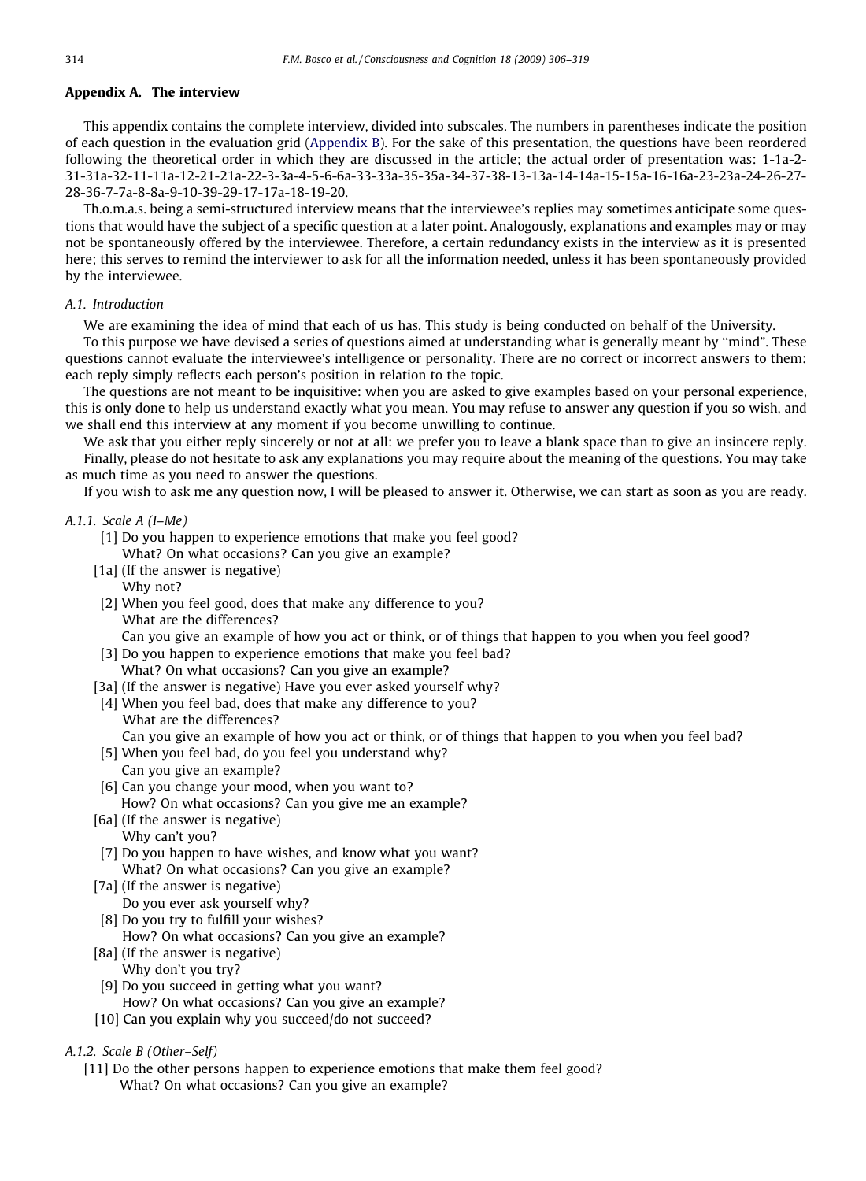## Appendix A. The interview

This appendix contains the complete interview, divided into subscales. The numbers in parentheses indicate the position of each question in the evaluation grid [\(Appendix B\)](#page-10-0). For the sake of this presentation, the questions have been reordered following the theoretical order in which they are discussed in the article; the actual order of presentation was: 1-1a-2- 31-31a-32-11-11a-12-21-21a-22-3-3a-4-5-6-6a-33-33a-35-35a-34-37-38-13-13a-14-14a-15-15a-16-16a-23-23a-24-26-27- 28-36-7-7a-8-8a-9-10-39-29-17-17a-18-19-20.

Th.o.m.a.s. being a semi-structured interview means that the interviewee's replies may sometimes anticipate some questions that would have the subject of a specific question at a later point. Analogously, explanations and examples may or may not be spontaneously offered by the interviewee. Therefore, a certain redundancy exists in the interview as it is presented here; this serves to remind the interviewer to ask for all the information needed, unless it has been spontaneously provided by the interviewee.

#### A.1. Introduction

We are examining the idea of mind that each of us has. This study is being conducted on behalf of the University.

To this purpose we have devised a series of questions aimed at understanding what is generally meant by ''mind". These questions cannot evaluate the interviewee's intelligence or personality. There are no correct or incorrect answers to them: each reply simply reflects each person's position in relation to the topic.

The questions are not meant to be inquisitive: when you are asked to give examples based on your personal experience, this is only done to help us understand exactly what you mean. You may refuse to answer any question if you so wish, and we shall end this interview at any moment if you become unwilling to continue.

We ask that you either reply sincerely or not at all: we prefer you to leave a blank space than to give an insincere reply. Finally, please do not hesitate to ask any explanations you may require about the meaning of the questions. You may take as much time as you need to answer the questions.

If you wish to ask me any question now, I will be pleased to answer it. Otherwise, we can start as soon as you are ready.

## A.1.1. Scale A (I–Me)

- [1] Do you happen to experience emotions that make you feel good? What? On what occasions? Can you give an example?
- [1a] (If the answer is negative) Why not?
- [2] When you feel good, does that make any difference to you? What are the differences? Can you give an example of how you act or think, or of things that happen to you when you feel good?

[3] Do you happen to experience emotions that make you feel bad? What? On what occasions? Can you give an example?

- [3a] (If the answer is negative) Have you ever asked yourself why?
- [4] When you feel bad, does that make any difference to you? What are the differences?

Can you give an example of how you act or think, or of things that happen to you when you feel bad?

- [5] When you feel bad, do you feel you understand why? Can you give an example?
- [6] Can you change your mood, when you want to? How? On what occasions? Can you give me an example?
- [6a] (If the answer is negative) Why can't you?
- [7] Do you happen to have wishes, and know what you want? What? On what occasions? Can you give an example?
- [7a] (If the answer is negative)
	- Do you ever ask yourself why?
- [8] Do you try to fulfill your wishes? How? On what occasions? Can you give an example?
- [8a] (If the answer is negative) Why don't you try?
- [9] Do you succeed in getting what you want? How? On what occasions? Can you give an example?
- [10] Can you explain why you succeed/do not succeed?

# A.1.2. Scale B (Other–Self)

[11] Do the other persons happen to experience emotions that make them feel good? What? On what occasions? Can you give an example?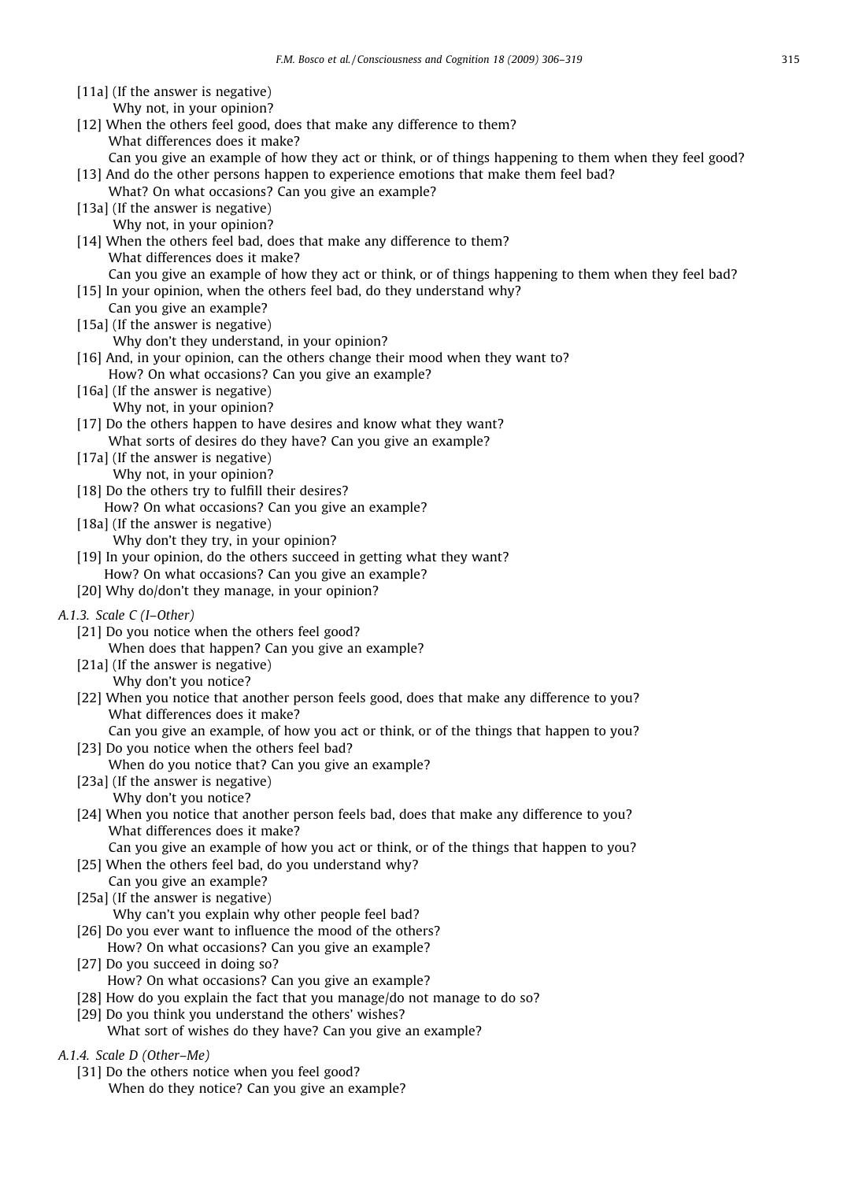| [11a] (If the answer is negative)                                                                     |
|-------------------------------------------------------------------------------------------------------|
| Why not, in your opinion?                                                                             |
| [12] When the others feel good, does that make any difference to them?                                |
| What differences does it make?                                                                        |
| Can you give an example of how they act or think, or of things happening to them when they feel good? |
| [13] And do the other persons happen to experience emotions that make them feel bad?                  |
| What? On what occasions? Can you give an example?                                                     |
| [13a] (If the answer is negative)                                                                     |
| Why not, in your opinion?                                                                             |
| [14] When the others feel bad, does that make any difference to them?                                 |
| What differences does it make?                                                                        |
| Can you give an example of how they act or think, or of things happening to them when they feel bad?  |
| [15] In your opinion, when the others feel bad, do they understand why?                               |
| Can you give an example?                                                                              |
| [15a] (If the answer is negative)                                                                     |
| Why don't they understand, in your opinion?                                                           |
| [16] And, in your opinion, can the others change their mood when they want to?                        |
| How? On what occasions? Can you give an example?                                                      |
|                                                                                                       |
| [16a] (If the answer is negative)                                                                     |
| Why not, in your opinion?                                                                             |
| [17] Do the others happen to have desires and know what they want?                                    |
| What sorts of desires do they have? Can you give an example?                                          |
| [17a] (If the answer is negative)                                                                     |
| Why not, in your opinion?                                                                             |
| [18] Do the others try to fulfill their desires?                                                      |
| How? On what occasions? Can you give an example?                                                      |
| [18a] (If the answer is negative)                                                                     |
| Why don't they try, in your opinion?                                                                  |
| [19] In your opinion, do the others succeed in getting what they want?                                |
| How? On what occasions? Can you give an example?                                                      |
| [20] Why do/don't they manage, in your opinion?                                                       |
| A.1.3. Scale C (I–Other)                                                                              |
| [21] Do you notice when the others feel good?                                                         |
| When does that happen? Can you give an example?                                                       |
| [21a] (If the answer is negative)                                                                     |
|                                                                                                       |
| Why don't you notice?                                                                                 |
| [22] When you notice that another person feels good, does that make any difference to you?            |
| What differences does it make?                                                                        |
| Can you give an example, of how you act or think, or of the things that happen to you?                |
| [23] Do you notice when the others feel bad?                                                          |
| When do you notice that? Can you give an example?                                                     |
| [23a] (If the answer is negative)                                                                     |
| Why don't you notice?                                                                                 |
| [24] When you notice that another person feels bad, does that make any difference to you?             |
| What differences does it make?                                                                        |
| Can you give an example of how you act or think, or of the things that happen to you?                 |
| [25] When the others feel bad, do you understand why?                                                 |
| Can you give an example?                                                                              |
| [25a] (If the answer is negative)                                                                     |
| Why can't you explain why other people feel bad?                                                      |
| [26] Do you ever want to influence the mood of the others?                                            |
| How? On what occasions? Can you give an example?                                                      |
| [27] Do you succeed in doing so?                                                                      |
| How? On what occasions? Can you give an example?                                                      |
| [28] How do you explain the fact that you manage/do not manage to do so?                              |
| [29] Do you think you understand the others' wishes?                                                  |
| What sort of wishes do they have? Can you give an example?                                            |
|                                                                                                       |
| A.1.4. Scale D (Other–Me)                                                                             |
| [31] Do the others notice when you feel good?                                                         |

When do they notice? Can you give an example?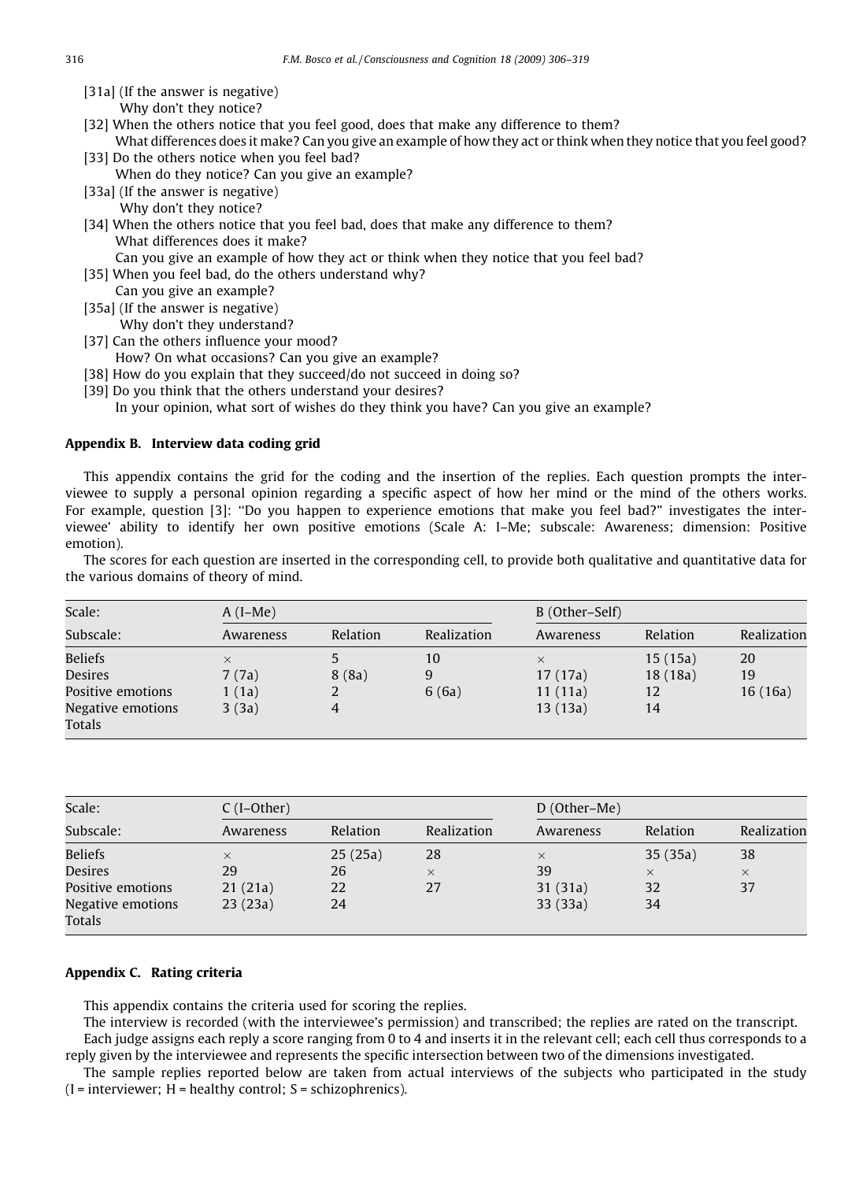- <span id="page-10-0"></span>[31a] (If the answer is negative) Why don't they notice?
- [32] When the others notice that you feel good, does that make any difference to them? What differences does it make? Can you give an example of how they act or think when they notice that you feel good?
- [33] Do the others notice when you feel bad?

When do they notice? Can you give an example?

- [33a] (If the answer is negative) Why don't they notice?
- [34] When the others notice that you feel bad, does that make any difference to them? What differences does it make?

Can you give an example of how they act or think when they notice that you feel bad?

- [35] When you feel bad, do the others understand why?
- Can you give an example?
- [35a] (If the answer is negative)

Why don't they understand?

- [37] Can the others influence your mood?
	- How? On what occasions? Can you give an example?
- [38] How do you explain that they succeed/do not succeed in doing so?
- [39] Do you think that the others understand your desires? In your opinion, what sort of wishes do they think you have? Can you give an example?

# Appendix B. Interview data coding grid

This appendix contains the grid for the coding and the insertion of the replies. Each question prompts the interviewee to supply a personal opinion regarding a specific aspect of how her mind or the mind of the others works. For example, question [3]: ''Do you happen to experience emotions that make you feel bad?" investigates the interviewee' ability to identify her own positive emotions (Scale A: I–Me; subscale: Awareness; dimension: Positive emotion).

The scores for each question are inserted in the corresponding cell, to provide both qualitative and quantitative data for the various domains of theory of mind.

| Scale:            | $A (I-Me)$ |          |             | B (Other–Self) |          |             |  |
|-------------------|------------|----------|-------------|----------------|----------|-------------|--|
| Subscale:         | Awareness  | Relation | Realization | Awareness      | Relation | Realization |  |
| <b>Beliefs</b>    | $\times$   |          | 10          | $\times$       | 15(15a)  | 20          |  |
| Desires           | 7(7a)      | 8(8a)    | 9           | 17(17a)        | 18(18a)  | 19          |  |
| Positive emotions | 1(1a)      |          | 6(6a)       | 11(11a)        | 12       | 16(16a)     |  |
| Negative emotions | 3(3a)      |          |             | 13(13a)        | 14       |             |  |
| Totals            |            |          |             |                |          |             |  |

| Scale:                      | $C$ (I-Other) |                 |             | $D$ (Other–Me) |          |             |  |
|-----------------------------|---------------|-----------------|-------------|----------------|----------|-------------|--|
| Subscale:                   | Awareness     | <b>Relation</b> | Realization | Awareness      | Relation | Realization |  |
| <b>Beliefs</b>              | $\times$      | 25(25a)         | 28          | $\times$       | 35(35a)  | 38          |  |
| Desires                     | 29            | 26              | $\times$    | 39             | $\times$ | $\times$    |  |
| Positive emotions           | 21(21a)       | 22              | 27          | 31(31a)        | 32       | 37          |  |
| Negative emotions<br>Totals | 23(23a)       | 24              |             | 33(33a)        | 34       |             |  |

# Appendix C. Rating criteria

This appendix contains the criteria used for scoring the replies.

The interview is recorded (with the interviewee's permission) and transcribed; the replies are rated on the transcript. Each judge assigns each reply a score ranging from 0 to 4 and inserts it in the relevant cell; each cell thus corresponds to a reply given by the interviewee and represents the specific intersection between two of the dimensions investigated.

The sample replies reported below are taken from actual interviews of the subjects who participated in the study  $(I =$  interviewer;  $H =$  healthy control;  $S =$  schizophrenics).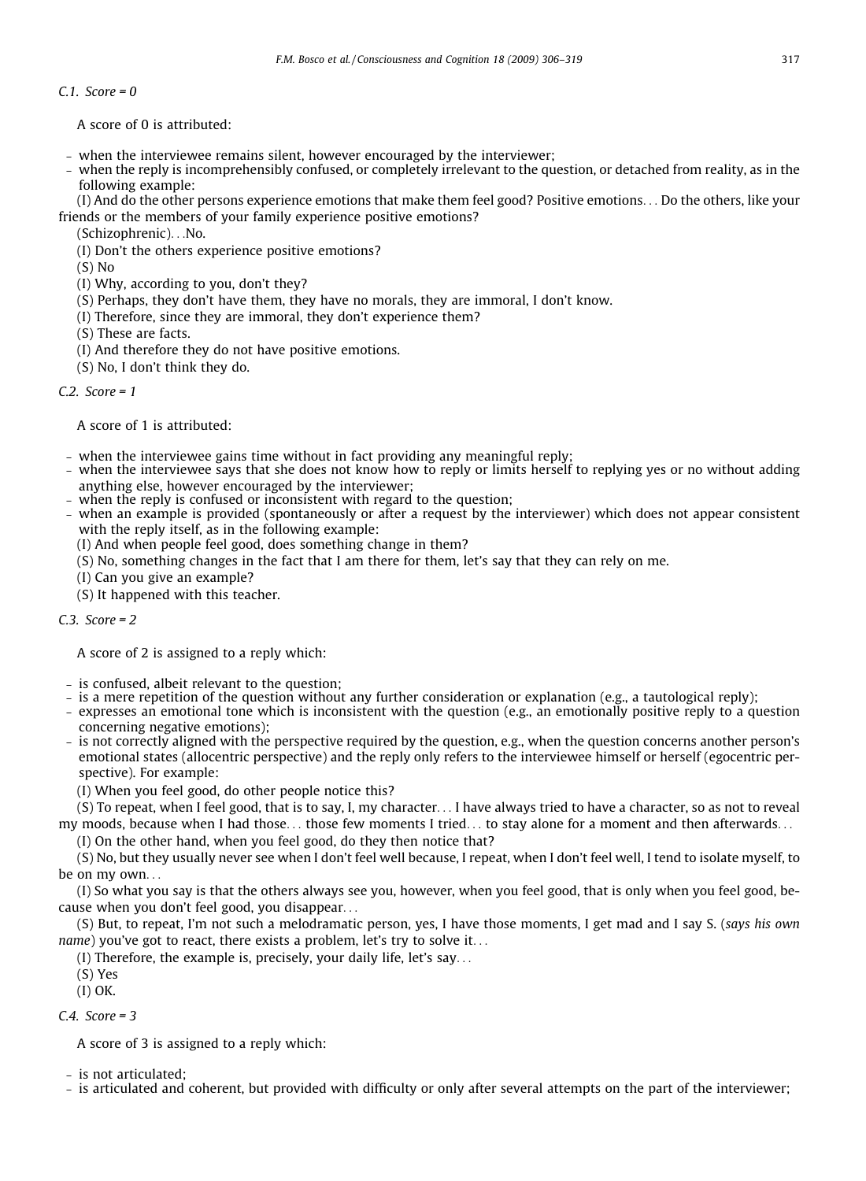## $C1$  Score = 0

A score of 0 is attributed:

- when the interviewee remains silent, however encouraged by the interviewer;
- when the reply is incomprehensibly confused, or completely irrelevant to the question, or detached from reality, as in the following example:

(I) And do the other persons experience emotions that make them feel good? Positive emotions... Do the others, like your friends or the members of your family experience positive emotions?

(Schizophrenic)...No.

(I) Don't the others experience positive emotions?

 $(S)$  No

- (I) Why, according to you, don't they?
- (S) Perhaps, they don't have them, they have no morals, they are immoral, I don't know.
- (I) Therefore, since they are immoral, they don't experience them?

(S) These are facts.

(I) And therefore they do not have positive emotions.

(S) No, I don't think they do.

C.2. Score = 1

A score of 1 is attributed:

- when the interviewee gains time without in fact providing any meaningful reply;
- when the interviewee says that she does not know how to reply or limits herself to replying yes or no without adding anything else, however encouraged by the interviewer;
- when the reply is confused or inconsistent with regard to the question:
- when an example is provided (spontaneously or after a request by the interviewer) which does not appear consistent with the reply itself, as in the following example:
	- (I) And when people feel good, does something change in them?
	- (S) No, something changes in the fact that I am there for them, let's say that they can rely on me.
	- (I) Can you give an example?
	- (S) It happened with this teacher.

C.3. Score = 2

A score of 2 is assigned to a reply which:

- is confused, albeit relevant to the question;
- is a mere repetition of the question without any further consideration or explanation (e.g., a tautological reply);
- expresses an emotional tone which is inconsistent with the question (e.g., an emotionally positive reply to a question concerning negative emotions);
- is not correctly aligned with the perspective required by the question, e.g., when the question concerns another person's emotional states (allocentric perspective) and the reply only refers to the interviewee himself or herself (egocentric perspective). For example:

(I) When you feel good, do other people notice this?

(S) To repeat, when I feel good, that is to say, I, my character... I have always tried to have a character, so as not to reveal my moods, because when I had those... those few moments I tried... to stay alone for a moment and then afterwards...

(I) On the other hand, when you feel good, do they then notice that?

(S) No, but they usually never see when I don't feel well because, I repeat, when I don't feel well, I tend to isolate myself, to be on my own...

(I) So what you say is that the others always see you, however, when you feel good, that is only when you feel good, because when you don't feel good, you disappear...

(S) But, to repeat, I'm not such a melodramatic person, yes, I have those moments, I get mad and I say S. (says his own name) you've got to react, there exists a problem, let's try to solve it...

(I) Therefore, the example is, precisely, your daily life, let's say...

(S) Yes

(I) OK.

C.4. Score = 3

A score of 3 is assigned to a reply which:

– is not articulated;

– is articulated and coherent, but provided with difficulty or only after several attempts on the part of the interviewer;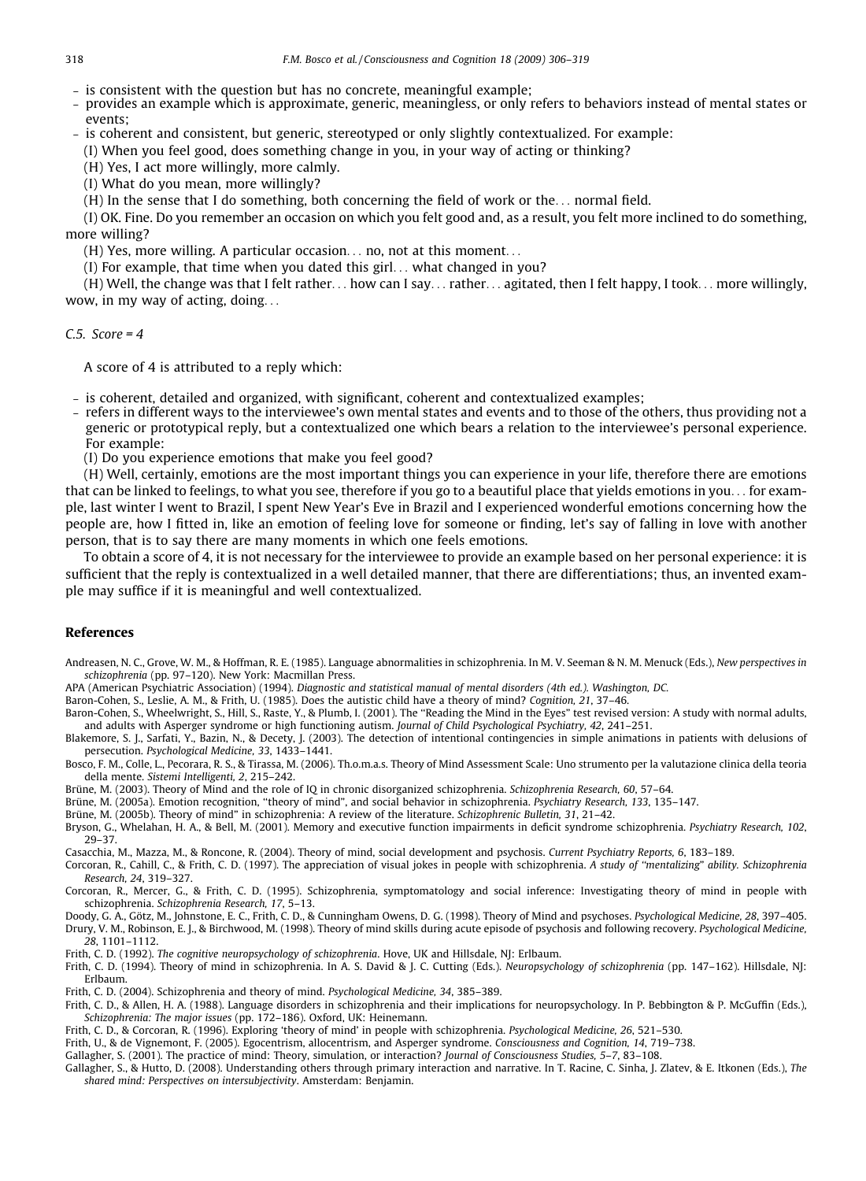- <span id="page-12-0"></span>– is consistent with the question but has no concrete, meaningful example;
- provides an example which is approximate, generic, meaningless, or only refers to behaviors instead of mental states or events;
- is coherent and consistent, but generic, stereotyped or only slightly contextualized. For example:
- (I) When you feel good, does something change in you, in your way of acting or thinking?

(H) Yes, I act more willingly, more calmly.

(I) What do you mean, more willingly?

(H) In the sense that I do something, both concerning the field of work or the... normal field.

(I) OK. Fine. Do you remember an occasion on which you felt good and, as a result, you felt more inclined to do something, more willing?

(H) Yes, more willing. A particular occasion... no, not at this moment...

(I) For example, that time when you dated this girl... what changed in you?

(H) Well, the change was that I felt rather... how can I say... rather... agitated, then I felt happy, I took... more willingly, wow, in my way of acting, doing...

#### $C.5. Score = 4$

A score of 4 is attributed to a reply which:

- is coherent, detailed and organized, with significant, coherent and contextualized examples;
- refers in different ways to the interviewee's own mental states and events and to those of the others, thus providing not a generic or prototypical reply, but a contextualized one which bears a relation to the interviewee's personal experience. For example:

(I) Do you experience emotions that make you feel good?

(H) Well, certainly, emotions are the most important things you can experience in your life, therefore there are emotions that can be linked to feelings, to what you see, therefore if you go to a beautiful place that yields emotions in you... for example, last winter I went to Brazil, I spent New Year's Eve in Brazil and I experienced wonderful emotions concerning how the people are, how I fitted in, like an emotion of feeling love for someone or finding, let's say of falling in love with another person, that is to say there are many moments in which one feels emotions.

To obtain a score of 4, it is not necessary for the interviewee to provide an example based on her personal experience: it is sufficient that the reply is contextualized in a well detailed manner, that there are differentiations; thus, an invented example may suffice if it is meaningful and well contextualized.

#### References

Andreasen, N. C., Grove, W. M., & Hoffman, R. E. (1985). Language abnormalities in schizophrenia. In M. V. Seeman & N. M. Menuck (Eds.), New perspectives in schizophrenia (pp. 97–120). New York: Macmillan Press.

APA (American Psychiatric Association) (1994). Diagnostic and statistical manual of mental disorders (4th ed.). Washington, DC.

Baron-Cohen, S., Leslie, A. M., & Frith, U. (1985). Does the autistic child have a theory of mind? Cognition, 21, 37–46.

- Baron-Cohen, S., Wheelwright, S., Hill, S., Raste, Y., & Plumb, I. (2001). The ''Reading the Mind in the Eyes" test revised version: A study with normal adults, and adults with Asperger syndrome or high functioning autism. Journal of Child Psychological Psychiatry, 42, 241–251.
- Blakemore, S. J., Sarfati, Y., Bazin, N., & Decety, J. (2003). The detection of intentional contingencies in simple animations in patients with delusions of persecution. Psychological Medicine, 33, 1433–1441.
- Bosco, F. M., Colle, L., Pecorara, R. S., & Tirassa, M. (2006). Th.o.m.a.s. Theory of Mind Assessment Scale: Uno strumento per la valutazione clinica della teoria della mente. Sistemi Intelligenti, 2, 215–242.
- Brüne, M. (2003). Theory of Mind and the role of IQ in chronic disorganized schizophrenia. Schizophrenia Research, 60, 57–64.
- Brüne, M. (2005a). Emotion recognition, ''theory of mind", and social behavior in schizophrenia. Psychiatry Research, 133, 135–147.

Brüne, M. (2005b). Theory of mind" in schizophrenia: A review of the literature. Schizophrenic Bulletin, 31, 21–42.

- Bryson, G., Whelahan, H. A., & Bell, M. (2001). Memory and executive function impairments in deficit syndrome schizophrenia. Psychiatry Research, 102, 29–37.
- Casacchia, M., Mazza, M., & Roncone, R. (2004). Theory of mind, social development and psychosis. Current Psychiatry Reports, 6, 183–189.
- Corcoran, R., Cahill, C., & Frith, C. D. (1997). The appreciation of visual jokes in people with schizophrenia. A study of ''mentalizing" ability. Schizophrenia Research, 24, 319–327.

Corcoran, R., Mercer, G., & Frith, C. D. (1995). Schizophrenia, symptomatology and social inference: Investigating theory of mind in people with schizophrenia. Schizophrenia Research, 17, 5–13.

Doody, G. A., Götz, M., Johnstone, E. C., Frith, C. D., & Cunningham Owens, D. G. (1998). Theory of Mind and psychoses. Psychological Medicine, 28, 397–405. Drury, V. M., Robinson, E. J., & Birchwood, M. (1998). Theory of mind skills during acute episode of psychosis and following recovery. Psychological Medicine, 28, 1101–1112.

Frith, C. D. (1992). The cognitive neuropsychology of schizophrenia. Hove, UK and Hillsdale, NJ: Erlbaum.

Frith, C. D. (1994). Theory of mind in schizophrenia. In A. S. David & J. C. Cutting (Eds.). Neuropsychology of schizophrenia (pp. 147–162). Hillsdale, NJ: Erlbaum.

Frith, C. D. (2004). Schizophrenia and theory of mind. Psychological Medicine, 34, 385–389.

Frith, C. D., & Allen, H. A. (1988). Language disorders in schizophrenia and their implications for neuropsychology. In P. Bebbington & P. McGuffin (Eds.), Schizophrenia: The major issues (pp. 172–186). Oxford, UK: Heinemann.

Frith, C. D., & Corcoran, R. (1996). Exploring 'theory of mind' in people with schizophrenia. Psychological Medicine, 26, 521–530.

Frith, U., & de Vignemont, F. (2005). Egocentrism, allocentrism, and Asperger syndrome. Consciousness and Cognition, 14, 719–738.

Gallagher, S. (2001). The practice of mind: Theory, simulation, or interaction? Journal of Consciousness Studies, 5–7, 83–108.

Gallagher, S., & Hutto, D. (2008). Understanding others through primary interaction and narrative. In T. Racine, C. Sinha, J. Zlatev, & E. Itkonen (Eds.), The shared mind: Perspectives on intersubjectivity. Amsterdam: Benjamin.